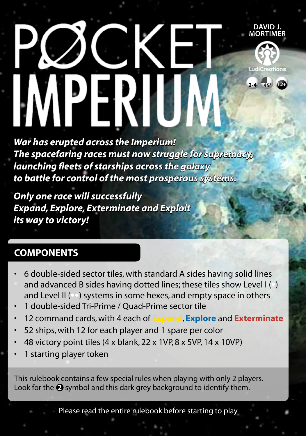# **David J. Mortimer** LudiCreations PERI **2-4 45' 12+**

*War has erupted across the Imperium! The spacefaring races must now struggle for supremacy, launching fleets of starships across the galaxy to battle for control of the most prosperous systems.*

*Only one race will successfully Expand, Explore, Exterminate and Exploit its way to victory!*

# **COMPONENTS**

- 6 double-sided sector tiles, with standard A sides having solid lines and advanced B sides having dotted lines; these tiles show Level I (•) and Level II (••) systems in some hexes, and empty space in others
- 1 double-sided Tri-Prime / Quad-Prime sector tile
- 12 command cards, with 4 each of **Expand**, **Explore** and **Exterminate**
- 52 ships, with 12 for each player and 1 spare per color
- 48 victory point tiles (4 x blank, 22 x 1VP, 8 x 5VP, 14 x 10VP)
- 1 starting player token

This rulebook contains a few special rules when playing with only 2 players. Look for the **2** symbol and this dark grey background to identify them.

Please read the entire rulebook before starting to play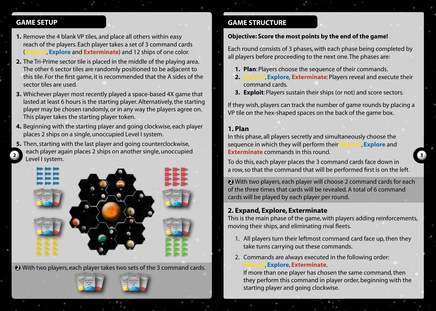### **! GAME SETUP**

- **1.** Remove the 4 blank VP tiles, and place all others within easy reach of the players. Each player takes a set of 3 command cards **I, Explore** and **Exterminate**) and 12 ships of one color.
- **2.** The Tri-Prime sector tile is placed in the middle of the playing area. The other 6 sector tiles are randomly positioned to be adjacent to this tile. For the first game, it is recommended that the A sides of the sector tiles are used.
- **3.** Whichever player most recently played a space-based 4X game that lasted at least 6 hours is the starting player. Alternatively, the starting player may be chosen randomly, or in any way the players agree on. This player takes the starting player token.
- **4.** Beginning with the starting player and going clockwise, each player places 2 ships on a single, unoccupied Level I system.

**5.** Then, starting with the last player and going counterclockwise, each player again places 2 ships on another single, unoccupied<br>Level I system. Level I system. **<sup>2</sup> <sup>3</sup>** To do this, each player places the 3 command cards face down in



**2** With two players, each player takes two sets of the 3 command cards.

### **GAME STRUCTURE**

### **Objective: Score the most points by the end of the game!**

Each round consists of 3 phases, with each phase being completed by all players before proceeding to the next one. The phases are:

- **1. Plan**: Players choose the sequence of their commands.
- **2. Expand**, **Explore**, **Exterminate**: Players reveal and execute their command cards.
- **3. Exploit**: Players sustain their ships (or not) and score sectors.

If they wish, players can track the number of game rounds by placing a VP tile on the hex-shaped spaces on the back of the game box.

### **1. Plan**

In this phase, all players secretly and simultaneously choose the sequence in which they will perform their **Expand**, **Explore** and **Exterminate** commands in this round.

a row, so that the command that will be performed first is on the left.

**2** With two players, each player will choose 2 command cards for each of the three times that cards will be revealed. A total of 6 command cards will be played by each player per round.

# **2. Expand, Explore, Exterminate**

This is the main phase of the game, with players adding reinforcements, moving their ships, and eliminating rival fleets.

- 1. All players turn their leftmost command card face up, then they take turns carrying out these commands.
- 2. Commands are always executed in the following order: **Expand**, **Explore**, **Exterminate**.

 If more than one player has chosen the same command, then they perform this command in player order, beginning with the starting player and going clockwise.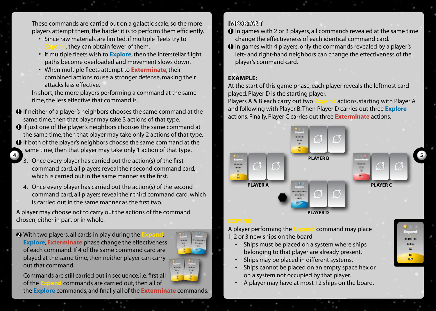These commands are carried out on a galactic scale, so the more players attempt them, the harder it is to perform them efficiently.

- Since raw materials are limited, if multiple fleets try to **E**, they can obtain fewer of them.
- If multiple fleets wish to **Explore**, then the interstellar flight paths become overloaded and movement slows down.
- When multiple fleets attempt to **Exterminate**, their combined actions rouse a stronger defense, making their attacks less effective.

 In short, the more players performing a command at the same time, the less effective that command is.

- $\bullet$  If neither of a player's neighbors chooses the same command at the same time, then that player may take 3 actions of that type.
- $\Theta$  If just one of the player's neighbors chooses the same command at the same time, then that player may take only 2 actions of that type.
- $\Theta$  If both of the player's neighbors choose the same command at the same time, then that player may take only 1 action of that type.
	- 3. Once every player has carried out the action(s) of the first command card, all players reveal their second command card, which is carried out in the same manner as the first.
	- 4. Once every player has carried out the action(s) of the second command card, all players reveal their third command card, which is carried out in the same manner as the first two.

A player may choose not to carry out the actions of the command chosen, either in part or in whole.

**2** With two players, all cards in play during the **Explore**, **Exterminate** phase change the effectiveness of each command. If 4 of the same command card are played at the same time, then neither player can carry out that command.



Commands are still carried out in sequence, i.e. first all of the **Expand** commands are carried out, then all of

the **Explore** commands, and finally all of the **Exterminate** commands.

### **IMPORTANT**

- $\Theta$  In games with 2 or 3 players, all commands revealed at the same time change the effectiveness of each identical command card.
- $\bullet$  In games with 4 players, only the commands revealed by a player's left- and right-hand neighbors can change the effectiveness of the player's command card.

### **EXAMPLE:**

At the start of this game phase, each player reveals the leftmost card played. Player D is the starting player.

Players A & B each carry out two **Expand** actions, starting with Player A and following with Player B. Then Player D carries out three **Explore** actions. Finally, Player C carries out three **Exterminate** actions.



A player performing the **Expand** command may place 1, 2 or 3 new ships on the board.

- Ships must be placed on a system where ships belonging to that player are already present.
- Ships may be placed in different systems.
- Ships cannot be placed on an empty space hex or on a system not occupied by that player.
- A player may have at most 12 ships on the board.

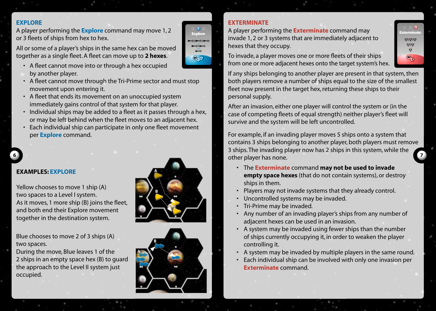### **Explore**

A player performing the **Explore** command may move 1, 2 or 3 fleets of ships from hex to hex.

All or some of a player's ships in the same hex can be moved together as a single fleet. A fleet can move up to **2 hexes**.

- A fleet cannot move into or through a hex occupied by another player.
- A fleet cannot move through the Tri-Prime sector and must stop movement upon entering it.
- A fleet that ends its movement on an unoccupied system immediately gains control of that system for that player.
- Individual ships may be added to a fleet as it passes through a hex, or may be left behind when the fleet moves to an adjacent hex.
- Each individual ship can participate in only one fleet movement per **Explore** command.

### **EXAMPLES: explore**

Yellow chooses to move 1 ship (A) two spaces to a Level I system. As it moves, 1 more ship (B) joins the fleet, and both end their Explore movement together in the destination system.

Blue chooses to move 2 of 3 ships (A) two spaces.

During the move, Blue leaves 1 of the 2 ships in an empty space hex (B) to guard the approach to the Level II system just occupied.





### **Exterminate**

ن<br>حوالات مان

⊨⊲⊫⇔ Q-5

A player performing the **Exterminate** command may invade 1, 2 or 3 systems that are immediately adjacent to hexes that they occupy.

To invade, a player moves one or more fleets of their ships from one or more adjacent hexes onto the target system's hex.

If any ships belonging to another player are present in that system, then both players remove a number of ships equal to the size of the smallest fleet now present in the target hex, returning these ships to their personal supply.

After an invasion, either one player will control the system or (in the case of competing fleets of equal strength) neither player's fleet will survive and the system will be left uncontrolled.

**6 7** other player has none. For example, if an invading player moves 5 ships onto a system that contains 3 ships belonging to another player, both players must remove 3 ships. The invading player now has 2 ships in this system, while the

- The **Exterminate** command **may not be used to invade empty space hexes** (that do not contain systems), or destroy ships in them.
- Players may not invade systems that they already control.
- Uncontrolled systems may be invaded.
- Tri-Prime may be invaded.
- Any number of an invading player's ships from any number of adjacent hexes can be used in an invasion.
- A system may be invaded using fewer ships than the number of ships currently occupying it, in order to weaken the player controlling it.
- A system may be invaded by multiple players in the same round.
- Each individual ship can be involved with only one invasion per **Exterminate** command.

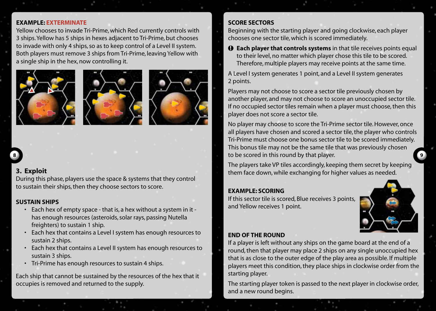### **EXAMPLE: Exterminate**

Yellow chooses to invade Tri-Prime, which Red currently controls with 3 ships. Yellow has 5 ships in hexes adjacent to Tri-Prime, but chooses to invade with only 4 ships, so as to keep control of a Level II system. Both players must remove 3 ships from Tri-Prime, leaving Yellow with a single ship in the hex, now controlling it.







### **3. Exploit**

During this phase, players use the space & systems that they control to sustain their ships, then they choose sectors to score.

### **Sustain ships**

- Each hex of empty space that is, a hex without a system in it has enough resources (asteroids, solar rays, passing Nutella freighters) to sustain 1 ship.
- Each hex that contains a Level I system has enough resources to sustain 2 ships.
- Each hex that contains a Level II system has enough resources to sustain 3 ships.
- Tri-Prime has enough resources to sustain 4 ships.

Each ship that cannot be sustained by the resources of the hex that it occupies is removed and returned to the supply.

### **Score sectors**

Beginning with the starting player and going clockwise, each player chooses one sector tile, which is scored immediately.

 $\bullet$  **Each player that controls systems** in that tile receives points equal to their level, no matter which player chose this tile to be scored. Therefore, multiple players may receive points at the same time.

A Level I system generates 1 point, and a Level II system generates 2 points.

Players may not choose to score a sector tile previously chosen by another player, and may not choose to score an unoccupied sector tile. If no occupied sector tiles remain when a player must choose, then this player does not score a sector tile.

**8 9** to be scored in this round by that player. No player may choose to score the Tri-Prime sector tile. However, once all players have chosen and scored a sector tile, the player who controls Tri-Prime must choose one bonus sector tile to be scored immediately. This bonus tile may not be the same tile that was previously chosen

> The players take VP tiles accordingly, keeping them secret by keeping them face down, while exchanging for higher values as needed.

### **EXAMPLE: scoring**

If this sector tile is scored, Blue receives 3 points, and Yellow receives 1 point.



### **End of the round**

If a player is left without any ships on the game board at the end of a round, then that player may place 2 ships on any single unoccupied hex that is as close to the outer edge of the play area as possible. If multiple players meet this condition, they place ships in clockwise order from the starting player.

The starting player token is passed to the next player in clockwise order, and a new round begins.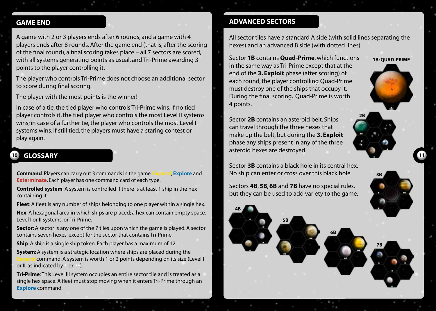### **GAME END**

A game with 2 or 3 players ends after 6 rounds, and a game with 4 players ends after 8 rounds. After the game end (that is, after the scoring of the final round), a final scoring takes place – all 7 sectors are scored, with all systems generating points as usual, and Tri-Prime awarding 3 points to the player controlling it.

The player who controls Tri-Prime does not choose an additional sector to score during final scoring.

The player with the most points is the winner!

In case of a tie, the tied player who controls Tri-Prime wins. If no tied player controls it, the tied player who controls the most Level II systems wins; in case of a further tie, the player who controls the most Level I systems wins. If still tied, the players must have a staring contest or play again.

# **10 GLOSSARY 11**

**Command**: Players can carry out 3 commands in the game: **Expand**, **Explore** and **Exterminate**. Each player has one command card of each type.

**Controlled system**: A system is controlled if there is at least 1 ship in the hex containing it.

**Fleet**: A fleet is any number of ships belonging to one player within a single hex. **Hex**: A hexagonal area in which ships are placed; a hex can contain empty space, Level I or II systems, or Tri-Prime.

**Sector**: A sector is any one of the 7 tiles upon which the game is played. A sector contains seven hexes, except for the sector that contains Tri-Prime.

**Ship**: A ship is a single ship token. Each player has a maximum of 12.

**System**: A system is a strategic location where ships are placed during the **Expand** command. A system is worth 1 or 2 points depending on its size (Level I or II, as indicated by • or ••).

**Tri-Prime**: This Level III system occupies an entire sector tile and is treated as a single hex space. A fleet must stop moving when it enters Tri-Prime through an **Explore** command.

### **ADVANCED SECTORS**

All sector tiles have a standard A side (with solid lines separating the hexes) and an advanced B side (with dotted lines).

**1B: Quad-Prime**

**2B**

**7B**

**3b**

Sector **1B** contains **Quad-Prime**, which functions in the same way as Tri-Prime except that at the end of the **3. Exploit** phase (after scoring) of each round, the player controlling Quad-Prime must destroy one of the ships that occupy it. During the final scoring, Quad-Prime is worth 4 points.

Sector **2B** contains an asteroid belt. Ships can travel through the three hexes that make up the belt, but during the **3. Exploit** phase any ships present in any of the three asteroid hexes are destroyed.

Sector **3B** contains a black hole in its central hex. No ship can enter or cross over this black hole.

Sectors **4B**, **5B**, **6B** and **7B** have no special rules, but they can be used to add variety to the game.

**6B**

**5B**

**4B**